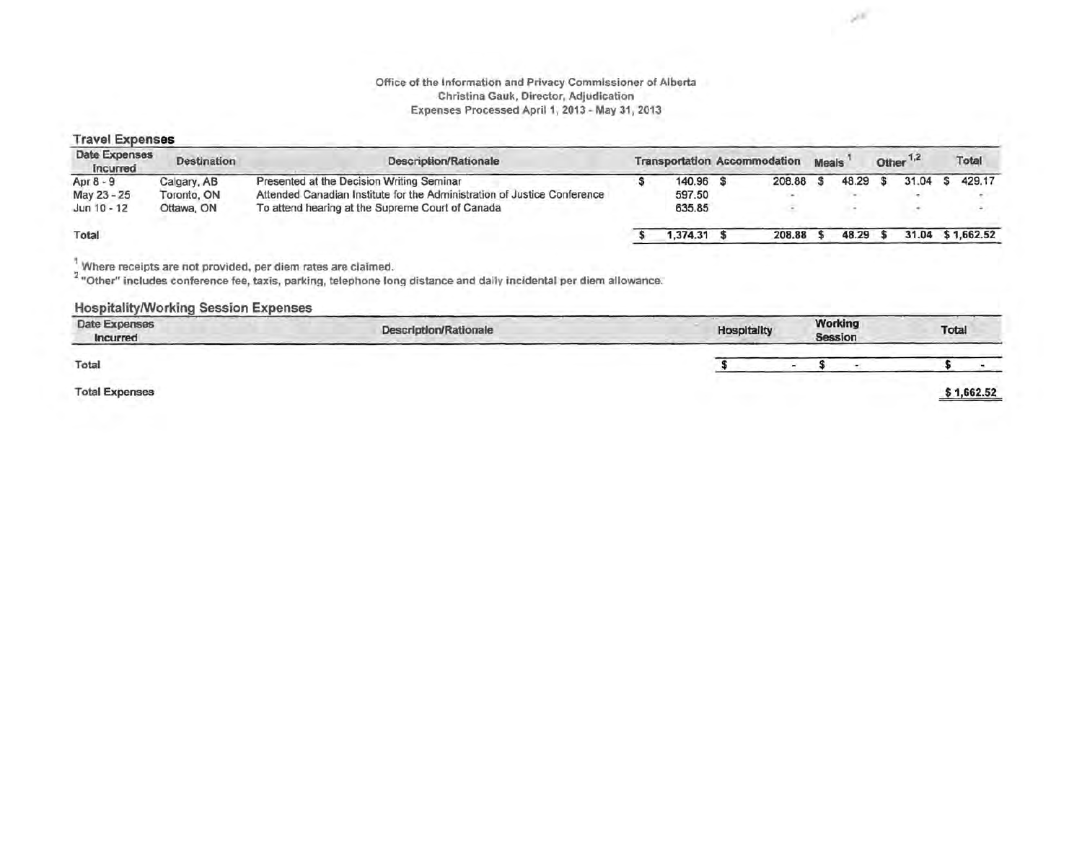#### Office of the Information and Privacy Commissioner of Alberta Christina Gauk, Director, Adjudication Expenses Processed April 1, 2013 - May 31, 2013

×

#### Travel Expenses

| Date Expenses<br>incurred | <b>Destination</b> | Description/Rationale                                                    |  | <b>Transportation Accommodation</b> |  |        | <b>Meals</b> |       | Other <sup>1,2</sup> |       | Total |            |
|---------------------------|--------------------|--------------------------------------------------------------------------|--|-------------------------------------|--|--------|--------------|-------|----------------------|-------|-------|------------|
| Apr $8 - 9$               | Calgary, AB        | Presented at the Decision Writing Seminar                                |  | 140.96                              |  | 208.88 |              | 48.29 |                      | 31.04 |       | 429.17     |
| May 23 - 25               | Toronto, ON        | Attended Canadian Institute for the Administration of Justice Conference |  | 597.50                              |  |        |              |       |                      |       |       |            |
| Jun 10 - 12               | Ottawa, ON         | To attend hearing at the Supreme Court of Canada                         |  | 635.85                              |  |        |              |       |                      |       |       |            |
| Total                     |                    |                                                                          |  | .374.31                             |  | 208.88 |              | 48.29 |                      | 31.04 |       | \$1,662.52 |

Where receipts are not provided, per diem rates are claimed.

<sup>2</sup> "Other" includes conference fee, taxis, parking, telephone long distance and daily incidental per diem allowance.

#### Hospitality/Working Session Expenses

| Date Expenses<br>Incurred | <b>Description/Rationale</b> |  |        | Working<br>Session | Total |            |
|---------------------------|------------------------------|--|--------|--------------------|-------|------------|
| Total                     |                              |  | $\sim$ |                    |       |            |
| <b>Total Expenses</b>     |                              |  |        |                    |       | \$1,662.52 |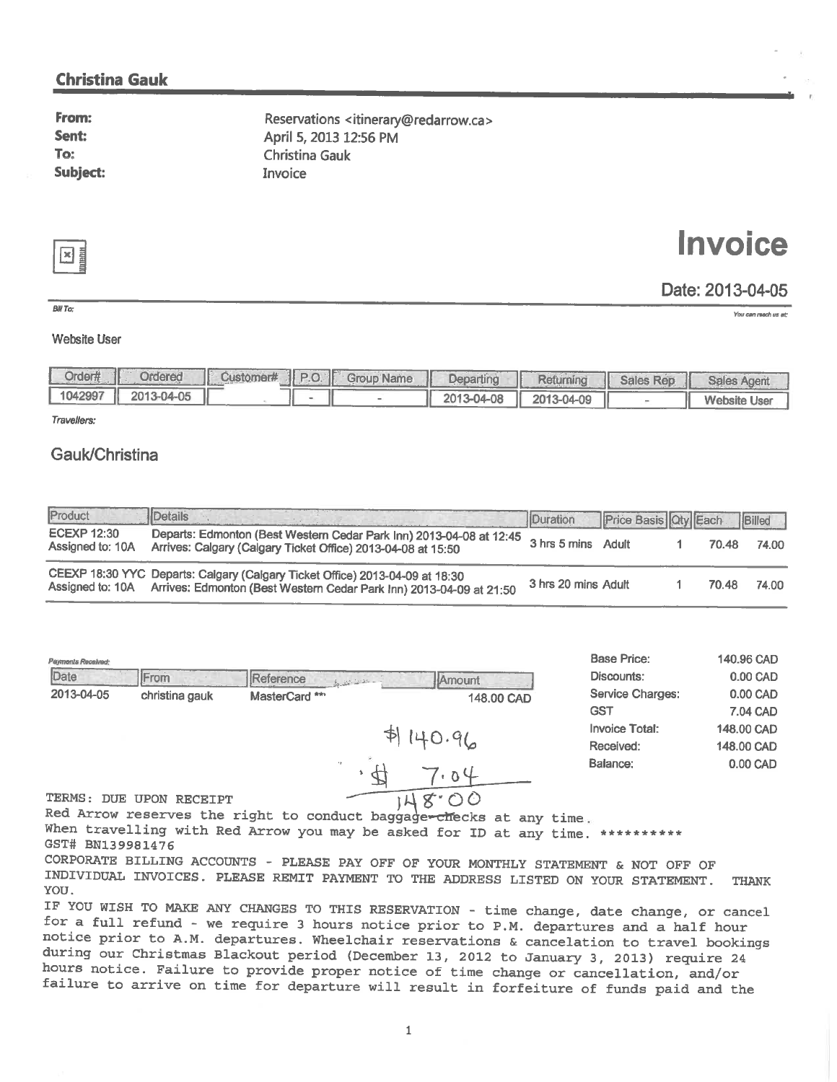### **Christina Gauk**

From: Sent: To: **Subject:** 

Reservations <itinerary@redarrow.ca> April 5, 2013 12:56 PM **Christina Gauk** Invoice

⊠

# **Invoice**

## Date: 2013-04-05

You can reach us at:

#### $BIII$ To-

#### **Website User**

| Order#  | <b>Ordered</b>   | Customer#   P.O. | <b>Group Name</b> | Departing  | Returning  | <b>Sales Rep</b><br>₩ | <b>Sales Agent</b>  |
|---------|------------------|------------------|-------------------|------------|------------|-----------------------|---------------------|
| 1042997 | 2013-04-05<br>H. |                  |                   | 2013-04-08 | 2013-04-09 |                       | <b>Website User</b> |

Travellers:

### Gauk/Christina

| Product                                | Details<br>the company of the Second Second Second                                                                                                                   | Duration Price Basis Oty Each Billed |  |       |       |
|----------------------------------------|----------------------------------------------------------------------------------------------------------------------------------------------------------------------|--------------------------------------|--|-------|-------|
| <b>ECEXP 12:30</b><br>Assigned to: 10A | Departs: Edmonton (Best Western Cedar Park Inn) 2013-04-08 at 12:45<br>Arrives: Calgary (Calgary Ticket Office) 2013-04-08 at 15:50                                  | 3 hrs 5 mins Adult                   |  | 70.48 | 74.00 |
|                                        | CEEXP 18:30 YYC Departs: Calgary (Calgary Ticket Office) 2013-04-09 at 18:30<br>Assigned to: 10A Arrives: Edmonton (Best Western Cedar Park Inn) 2013-04-09 at 21:50 | 3 hrs 20 mins Adult                  |  | 70.48 | 74.00 |

| Payments Received: |                |                                  |            | Base Price:                           |
|--------------------|----------------|----------------------------------|------------|---------------------------------------|
| Date               | <b>IFrom</b>   | Reference<br>which is a state of | IlAmount.  | Discounts:                            |
| 2013-04-05         | christina gauk | MasterCard **                    | 148,00 CAD | <b>Service Charges:</b><br><b>GST</b> |
|                    |                |                                  |            | <b>Invoice Total:</b>                 |

| <b>Base Price:</b>      | 140.96 CAD   |
|-------------------------|--------------|
| Discounts:              | 0.00 CAD     |
| <b>Service Charges:</b> | 0.00 CAD     |
| <b>GST</b>              | 7.04 CAD     |
| Invoice Total:          | 148,00 CAD   |
| Received:               | 148.00 CAD   |
| Balance:                | $0.00$ $CAD$ |
|                         |              |

TERMS: DUE UPON RECEIPT

Red Arrow reserves the right to conduct baggage - checks at any time.

When travelling with Red Arrow you may be asked for ID at any time. \*\*\*\*\*\*\*\*\*\*\* GST# BN139981476

CORPORATE BILLING ACCOUNTS - PLEASE PAY OFF OF YOUR MONTHLY STATEMENT & NOT OFF OF INDIVIDUAL INVOICES. PLEASE REMIT PAYMENT TO THE ADDRESS LISTED ON YOUR STATEMENT. **THANK** YOU.

 $47.04$ 

 $I48.00$ 

IF YOU WISH TO MAKE ANY CHANGES TO THIS RESERVATION - time change, date change, or cancel for a full refund - we require 3 hours notice prior to P.M. departures and a half hour notice prior to A.M. departures. Wheelchair reservations & cancelation to travel bookings during our Christmas Blackout period (December 13, 2012 to January 3, 2013) require 24 hours notice. Failure to provide proper notice of time change or cancellation, and/or failure to arrive on time for departure will result in forfeiture of funds paid and the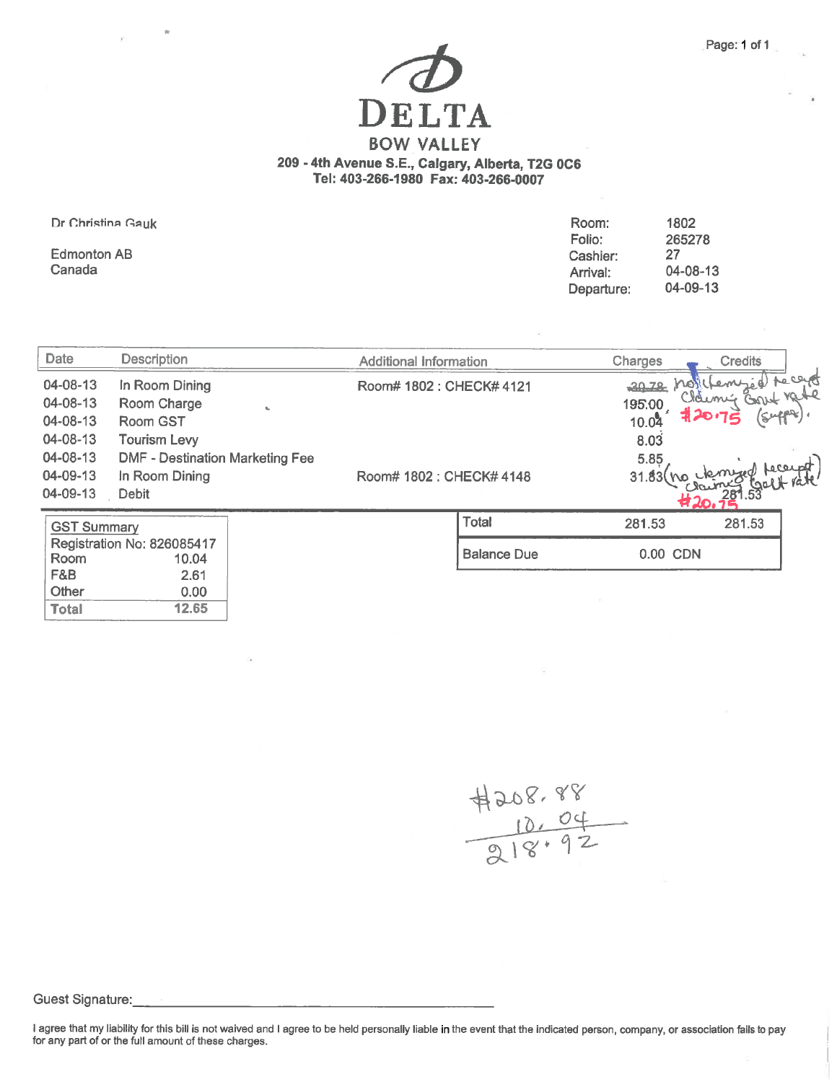# DELTA **BOW VALLEY** 209 - 4th Avenue S.E., Calgary, Alberta, T2G 0C6 Tel: 403-266-1980 Fax: 403-266-0007

Dr Christina Gauk

**Edmonton AB** Canada

**Total** 

| Room:      | 1802     |
|------------|----------|
| Folio:     | 265278   |
| Cashier:   | 27       |
| Arrival:   | 04-08-13 |
| Departure: | 04-09-13 |

| Date                                         | <b>Description</b>                                                      | <b>Additional Information</b> | Charges<br><b>Credits</b>                       |
|----------------------------------------------|-------------------------------------------------------------------------|-------------------------------|-------------------------------------------------|
| 04-08-13<br>04-08-13<br>04-08-13<br>04-08-13 | In Room Dining<br>Room Charge<br><b>Room GST</b><br><b>Tourism Levy</b> | Room# 1802 : CHECK# 4121      | Techd<br>$2072$ $No$<br>195.00<br>10.04<br>8.03 |
| 04-08-13<br>04-09-13<br>04-09-13             | <b>DMF - Destination Marketing Fee</b><br>In Room Dining<br>Debit       | Room# 1802 : CHECK# 4148      | 5.85<br>Leceup<br>31.83                         |
| <b>GST Summary</b>                           |                                                                         | <b>Total</b>                  | 281.53<br>281.53                                |
| Room                                         | Registration No: 826085417<br>10.04                                     | <b>Balance Due</b>            | 0.00 CDN                                        |
| F&B<br>Other<br><b>Total</b>                 | 2.61<br>0.00<br>12.65                                                   |                               |                                                 |

 $4208.88$ <br> $70.04$ <br> $218.92$ 

Guest Signature:

I agree that my liability for this bill is not waived and I agree to be held personally liable in the event that the indicated person, company, or association fails to pay<br>for any part of or the full amount of these charge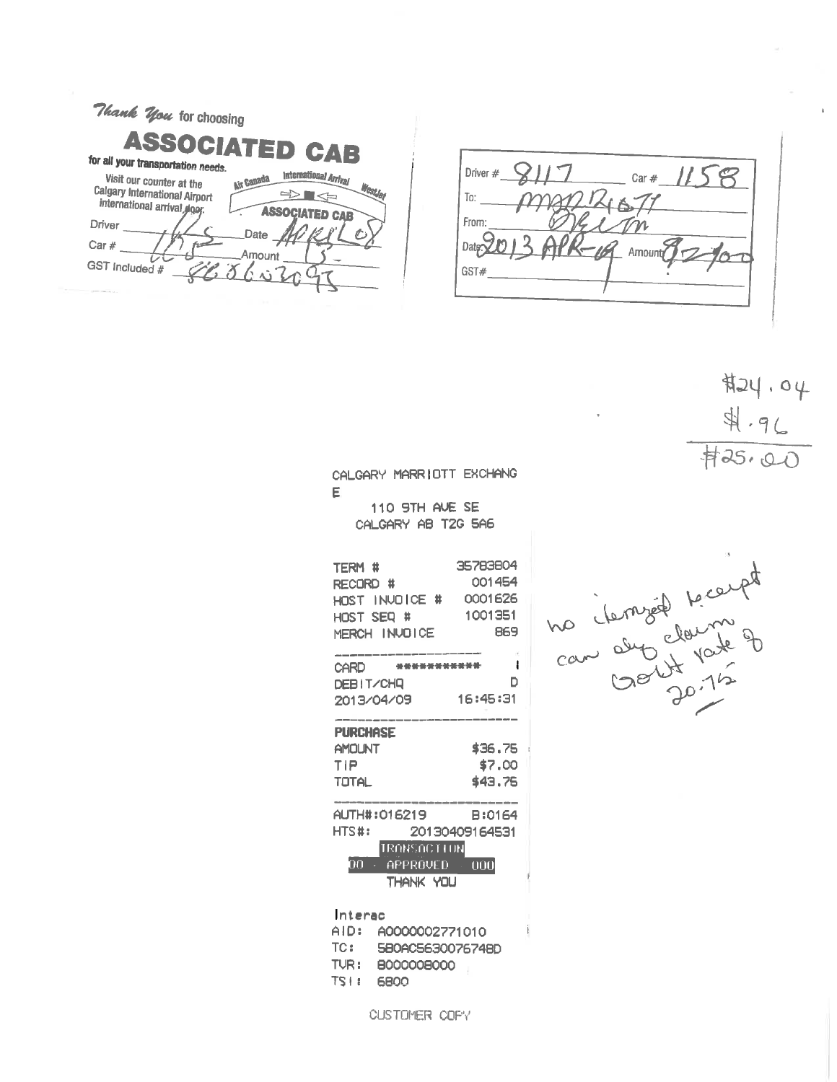| Thank You for choosing                                                                                                                                                            |
|-----------------------------------------------------------------------------------------------------------------------------------------------------------------------------------|
| <b>ASSOCIATED CAB</b><br>for all your transportation needs.                                                                                                                       |
| International Arrival<br>Visit our counter at the<br><b>Air Canada</b><br>Westle<br><b>Calgary International Airport</b><br>international arrival elger.<br><b>ASSOCIATED CAB</b> |
| Driver<br>Date                                                                                                                                                                    |
| Car $#$<br>Amount                                                                                                                                                                 |
| GST Included #                                                                                                                                                                    |
|                                                                                                                                                                                   |

Driver #  $\bigcirc$  | | 7  $2 -$  Car #  $158$ MARIZIX  $To:$ From:  $Datp20$  $16$  Amount GST#

 $#24.94$  $4.96$  $425.00$ 

CALGARY MARRIOTT EXCHANG E

110 9TH AVE SE CALGARY AB T2G 5A6

| TERM #<br>RECORD #<br>HOST INVOICE #<br>HOST SEQ #<br>MERCH INVOICE | 35783804<br>001454<br>0001626<br>1001351<br>869 |
|---------------------------------------------------------------------|-------------------------------------------------|
| <b>Service State</b><br>CARD                                        | ı                                               |
| <b>DEBIT/CHQ</b>                                                    | n                                               |
| 2013/04/09                                                          | 16:45:31                                        |
|                                                                     |                                                 |
| <b>PURCHASE</b>                                                     |                                                 |
| <b>AMOLINT</b>                                                      | \$36.75                                         |
| TIP                                                                 | \$7,00                                          |
| TOTAL                                                               | \$43.75                                         |
|                                                                     |                                                 |
| AUTH#:016219                                                        | B:0164                                          |
| HTS#:                                                               | 20130409164531                                  |
| <b>TRANSACTION</b>                                                  |                                                 |
| ΩO<br>$\overline{APPROVED}$                                         | 000                                             |
| THANK YOU                                                           |                                                 |
|                                                                     |                                                 |
| Interac                                                             |                                                 |

AID: A0000002771010 TC: 580AC5630076748D TUR: B00000B000 TS | : 6800

CUSTOMER COPY

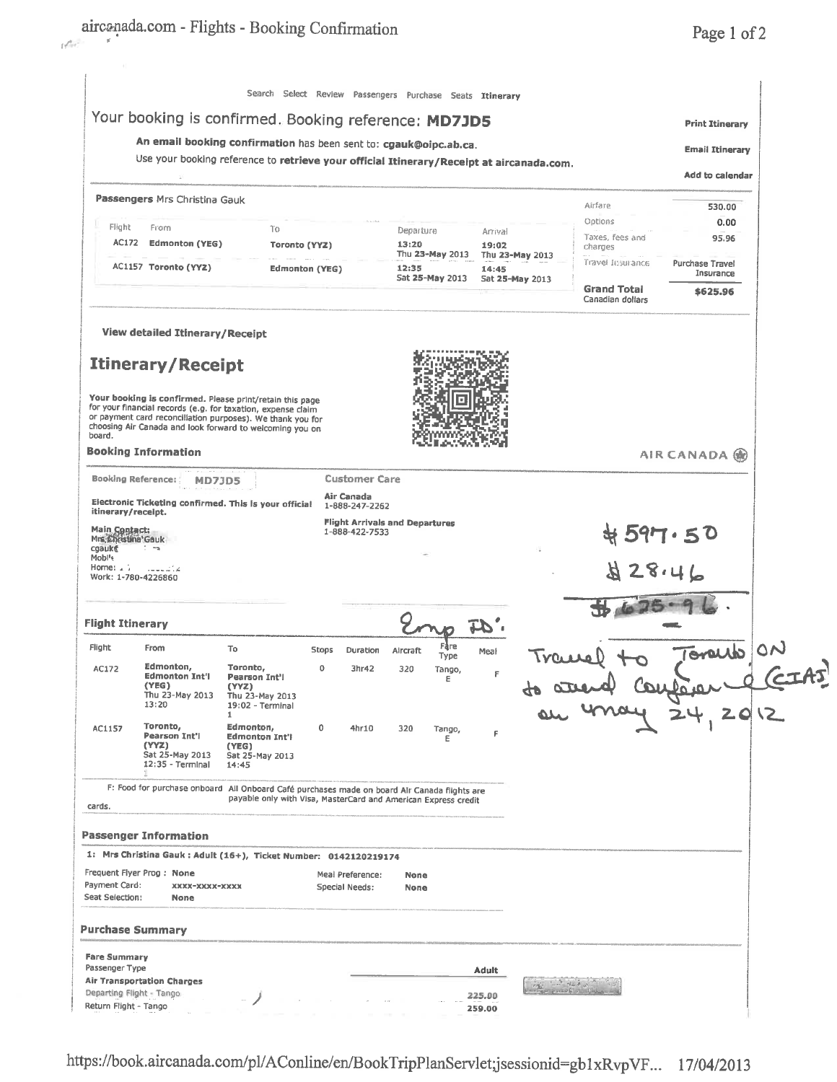|                                                                                                                                                               | Your booking is confirmed. Booking reference: MD7JD5                                                                                                                                   |                                                                |       |                                                         |              |                 |              |                        |                                        |       | <b>Print Itinerary</b>       |  |
|---------------------------------------------------------------------------------------------------------------------------------------------------------------|----------------------------------------------------------------------------------------------------------------------------------------------------------------------------------------|----------------------------------------------------------------|-------|---------------------------------------------------------|--------------|-----------------|--------------|------------------------|----------------------------------------|-------|------------------------------|--|
| An email booking confirmation has been sent to: cgauk@oipc.ab.ca.<br>Use your booking reference to retrieve your official Itinerary/Receipt at aircanada.com. |                                                                                                                                                                                        |                                                                |       |                                                         |              |                 |              | <b>Email Itinerary</b> |                                        |       |                              |  |
|                                                                                                                                                               |                                                                                                                                                                                        |                                                                |       |                                                         |              |                 |              |                        |                                        |       | Add to calendar              |  |
|                                                                                                                                                               | Passengers Mrs Christina Gauk                                                                                                                                                          |                                                                |       |                                                         |              |                 |              |                        | Airfare                                |       | 530.00                       |  |
| Flight                                                                                                                                                        | From                                                                                                                                                                                   | Tο                                                             |       |                                                         | Departure    |                 | Arrival      |                        | Options                                |       | 0.00                         |  |
| AC172                                                                                                                                                         | Edmonton (YEG)                                                                                                                                                                         | Toronto (YYZ)                                                  |       |                                                         | 13:20        | Thu 23-May 2013 | 19:02        | Thu 23-May 2013        | Taxes, fees and<br>charges             |       | 95.96                        |  |
|                                                                                                                                                               | AC1157 Toronto (YYZ)                                                                                                                                                                   | <b>Edmonton (YEG)</b>                                          |       |                                                         | 12:35        | Sat 25-May 2013 | 14:45        |                        | Travel Insurance                       |       | Purchase Travel<br>Insurance |  |
|                                                                                                                                                               |                                                                                                                                                                                        |                                                                |       |                                                         |              |                 |              | Sat 25-May 2013        | <b>Grand Total</b><br>Canadian dollars |       | \$625.96                     |  |
|                                                                                                                                                               | <b>View detailed Itinerary/Receipt</b>                                                                                                                                                 |                                                                |       |                                                         |              |                 |              |                        |                                        |       |                              |  |
|                                                                                                                                                               | <b>Itinerary/Receipt</b>                                                                                                                                                               |                                                                |       |                                                         |              |                 |              |                        |                                        |       |                              |  |
|                                                                                                                                                               | Your booking is confirmed. Please print/retain this page                                                                                                                               |                                                                |       |                                                         |              |                 |              |                        |                                        |       |                              |  |
|                                                                                                                                                               | for your financial records (e.g. for taxation, expense claim<br>or payment card reconciliation purposes). We thank you for<br>choosing Air Canada and look forward to welcoming you on |                                                                |       |                                                         |              |                 |              |                        |                                        |       |                              |  |
| board.                                                                                                                                                        | <b>Booking Information</b>                                                                                                                                                             |                                                                |       |                                                         |              |                 |              |                        |                                        |       | AIR CANADA (M)               |  |
| <b>Booking Reference:</b>                                                                                                                                     | MD7JD5                                                                                                                                                                                 |                                                                |       | <b>Customer Care</b>                                    |              |                 |              |                        |                                        |       |                              |  |
| itinerary/receipt.                                                                                                                                            | Electronic Ticketing confirmed. This is your official                                                                                                                                  |                                                                |       | Air Canada<br>1-888-247-2262                            |              |                 |              |                        |                                        |       |                              |  |
| Main Contact:<br>Mrs. Christina' Gauk                                                                                                                         |                                                                                                                                                                                        |                                                                |       | <b>Flight Arrivals and Departures</b><br>1-888-422-7533 |              |                 |              |                        |                                        |       | #597.50                      |  |
| cgauke<br>Mobl <sup>i</sup> s                                                                                                                                 | T ma                                                                                                                                                                                   |                                                                |       |                                                         |              |                 |              |                        |                                        |       |                              |  |
| Home: $\sqrt{ }$<br>Work: 1-780-4226860                                                                                                                       | مكتبيت                                                                                                                                                                                 |                                                                |       |                                                         |              |                 |              |                        |                                        | 28.46 |                              |  |
|                                                                                                                                                               |                                                                                                                                                                                        |                                                                |       |                                                         |              |                 |              |                        |                                        |       |                              |  |
| <b>Flight Itinerary</b>                                                                                                                                       |                                                                                                                                                                                        |                                                                |       |                                                         |              |                 |              |                        |                                        |       |                              |  |
| Flight                                                                                                                                                        | From                                                                                                                                                                                   | To                                                             | Stops | Duration                                                | Aircraft     | Fare<br>Type    | Meal         |                        |                                        |       | Toracho                      |  |
| AC172                                                                                                                                                         | Edmonton,<br><b>Edmonton Int'l</b>                                                                                                                                                     | Toronto,<br><b>Pearson Int'l</b>                               | 0     | 3hr42                                                   | 320          | Tango,<br>F     | F            |                        |                                        |       |                              |  |
|                                                                                                                                                               | (YEG)<br>Thu 23-May 2013<br>13:20                                                                                                                                                      | (YYZ)<br>Thu 23-May 2013<br>19:02 - Terminal                   |       |                                                         |              |                 |              |                        | an may                                 |       | $f(x) = 2012$                |  |
| AC1157                                                                                                                                                        | Toronto,                                                                                                                                                                               | 1<br>Edmonton,                                                 | 0     | 4hr10                                                   | 320          | Tango,          |              |                        |                                        |       |                              |  |
|                                                                                                                                                               | Pearson Int'l<br>(YYZ)<br>Sat 25-May 2013<br>12:35 - Terminal                                                                                                                          | <b>Edmonton Int'l</b><br>(YEG)<br>Sat 25-May 2013<br>14:45     |       |                                                         |              | Ε               | F            |                        |                                        |       |                              |  |
|                                                                                                                                                               | F: Food for purchase onboard All Onboard Café purchases made on board Air Canada flights are                                                                                           | payable only with Visa, MasterCard and American Express credit |       |                                                         |              |                 |              |                        |                                        |       |                              |  |
| cards.                                                                                                                                                        |                                                                                                                                                                                        |                                                                |       |                                                         |              |                 |              |                        |                                        |       |                              |  |
|                                                                                                                                                               | <b>Passenger Information</b>                                                                                                                                                           |                                                                |       |                                                         |              |                 |              |                        |                                        |       |                              |  |
|                                                                                                                                                               | 1: Mrs Christina Gauk : Adult (16+), Ticket Number: 0142120219174                                                                                                                      |                                                                |       |                                                         |              |                 |              |                        |                                        |       |                              |  |
| Payment Card:<br>Seat Selection:                                                                                                                              | Frequent Flyer Prog: None<br>XXXX-XXXX-XXXX<br>None                                                                                                                                    |                                                                |       | Meal Preference:<br>Special Needs:                      | None<br>None |                 |              |                        |                                        |       |                              |  |
|                                                                                                                                                               | <b>Purchase Summary</b>                                                                                                                                                                |                                                                |       |                                                         |              |                 |              |                        |                                        |       |                              |  |
| <b>Fare Summary</b>                                                                                                                                           |                                                                                                                                                                                        |                                                                |       |                                                         |              |                 |              |                        |                                        |       |                              |  |
| Passenger Type                                                                                                                                                | <b>Air Transportation Charges</b>                                                                                                                                                      |                                                                |       |                                                         |              |                 | <b>Adult</b> |                        |                                        |       |                              |  |
| Departing Flight - Tango                                                                                                                                      |                                                                                                                                                                                        |                                                                |       |                                                         |              |                 | 225.00       |                        |                                        |       |                              |  |

https://book.aircanada.com/pl/AConline/en/BookTripPlanServlet;jsessionid=gb1xRvpVF... 17/04/2013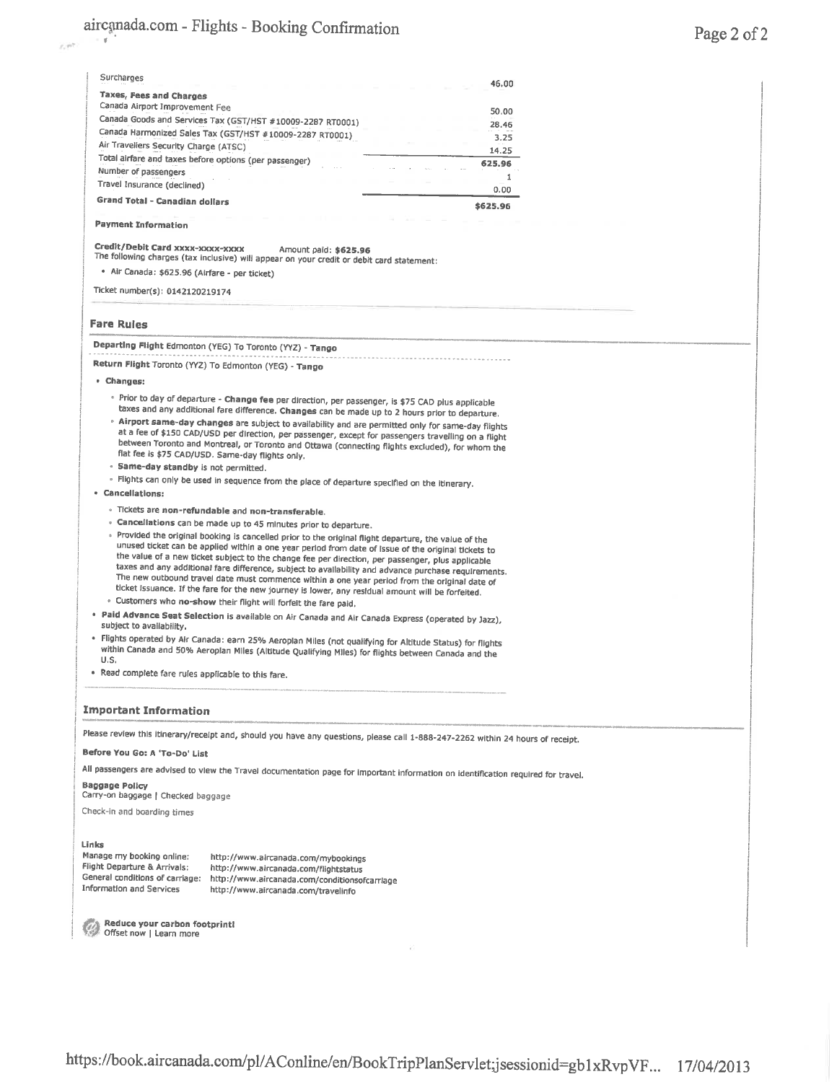| Surcharges                                                                                                                                                                                                | 46.00    |
|-----------------------------------------------------------------------------------------------------------------------------------------------------------------------------------------------------------|----------|
| Taxes, Fees and Charges                                                                                                                                                                                   |          |
| Canada Airport Improvement Fee                                                                                                                                                                            | 50.00    |
| Canada Goods and Services Tax (GST/HST #10009-2287 RT0001)                                                                                                                                                | 28.46    |
| Canada Harmonized Sales Tax (GST/HST #10009-2287 RT0001)                                                                                                                                                  | 3.25     |
| Air Travellers Security Charge (ATSC)                                                                                                                                                                     | 14.25    |
| Total airfare and taxes before options (per passenger)<br>Number of passengers                                                                                                                            | 625.96   |
| Travel Insurance (declined)                                                                                                                                                                               | 1        |
| <b>Grand Total - Canadian dollars</b>                                                                                                                                                                     | 0.00     |
|                                                                                                                                                                                                           | \$625.96 |
| <b>Payment Information</b>                                                                                                                                                                                |          |
|                                                                                                                                                                                                           |          |
| Credit/Debit Card xxxx-xxxx-xxxx<br>Amount paid: \$625.96<br>The following charges (tax inclusive) will appear on your credit or debit card statement:                                                    |          |
| · Air Canada: \$625.96 (Airfare - per ticket)                                                                                                                                                             |          |
|                                                                                                                                                                                                           |          |
| Ticket number(s): 0142120219174                                                                                                                                                                           |          |
|                                                                                                                                                                                                           |          |
| <b>Fare Rules</b>                                                                                                                                                                                         |          |
| Departing Flight Edmonton (YEG) To Toronto (YYZ) - Tango                                                                                                                                                  |          |
| Return Flight Toronto (YYZ) To Edmonton (YEG) - Tango                                                                                                                                                     |          |
| • Changes:                                                                                                                                                                                                |          |
| · Prior to day of departure - Change fee per direction, per passenger, is \$75 CAD plus applicable                                                                                                        |          |
| taxes and any additional fare difference. Changes can be made up to 2 hours prior to departure.                                                                                                           |          |
| . Airport same-day changes are subject to availability and are permitted only for same-day flights                                                                                                        |          |
| at a fee of \$150 CAD/USD per direction, per passenger, except for passengers travelling on a flight<br>between Toronto and Montreal, or Toronto and Ottawa (connecting flights excluded), for whom the   |          |
| flat fee is \$75 CAD/USD. Same-day flights only.                                                                                                                                                          |          |
| · Same-day standby is not permitted.                                                                                                                                                                      |          |
| » Flights can only be used in sequence from the place of departure specified on the itinerary.                                                                                                            |          |
| <b>Cancellations:</b>                                                                                                                                                                                     |          |
| · Tickets are non-refundable and non-transferable.                                                                                                                                                        |          |
| · Cancellations can be made up to 45 minutes prior to departure.                                                                                                                                          |          |
| • Provided the original booking is cancelled prior to the original flight departure, the value of the                                                                                                     |          |
| unused ticket can be applied within a one year period from date of issue of the original tickets to                                                                                                       |          |
| the value of a new ticket subject to the change fee per direction, per passenger, plus applicable<br>taxes and any additional fare difference, subject to availability and advance purchase requirements. |          |
| The new outbound travel date must commence within a one year period from the original date of                                                                                                             |          |
| ticket issuance. If the fare for the new journey is lower, any residual amount will be forfeited.                                                                                                         |          |
| · Customers who no-show their flight will forfeit the fare paid.                                                                                                                                          |          |
| . Paid Advance Seat Selection is available on Air Canada and Air Canada Express (operated by Jazz),<br>subject to availability,                                                                           |          |
| · Flights operated by Air Canada: earn 25% Aeroplan Miles (not qualifying for Altitude Status) for flights                                                                                                |          |
| within Canada and 50% Aeroplan Miles (Altitude Qualifying Miles) for flights between Canada and the                                                                                                       |          |
| U.S.                                                                                                                                                                                                      |          |
| . Read complete fare rules applicable to this fare.                                                                                                                                                       |          |
|                                                                                                                                                                                                           |          |
| <b>Important Information</b>                                                                                                                                                                              |          |
| Please review this itinerary/recelpt and, should you have any questions, please call 1-888-247-2262 within 24 hours of receipt.                                                                           |          |
| Before You Go: A 'To-Do' List                                                                                                                                                                             |          |
| All passengers are advised to view the Travel documentation page for important information on identification required for travel.                                                                         |          |
| Baggage Policy<br>Carry-on baggage   Checked baggage                                                                                                                                                      |          |
| Check-in and boarding times                                                                                                                                                                               |          |
|                                                                                                                                                                                                           |          |
| Links                                                                                                                                                                                                     |          |
| Manage my booking online:<br>http://www.aircanada.com/mybookings                                                                                                                                          |          |
| Flight Departure & Arrivals:<br>http://www.aircanada.com/flightstatus                                                                                                                                     |          |
| General conditions of carriage:<br>http://www.aircanada.com/conditionsofcarriage<br>Information and Services<br>http://www.aircanada.com/travelinfo                                                       |          |
|                                                                                                                                                                                                           |          |
|                                                                                                                                                                                                           |          |
| Reduce your carbon footprint!<br>Offset now   Learn more                                                                                                                                                  |          |
|                                                                                                                                                                                                           |          |
|                                                                                                                                                                                                           |          |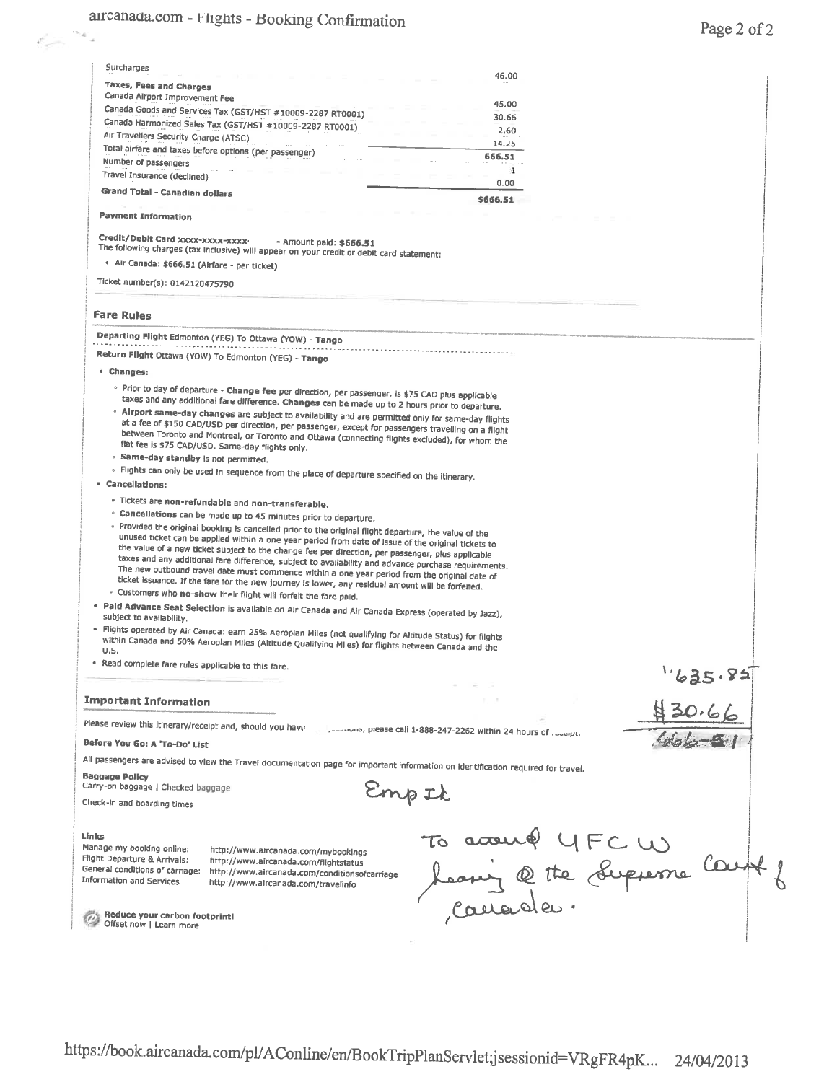$\mathcal{E}_{\mathcal{A}^{\text{max}}}$ 

| Surcharges                                                                     |                                                                                                                                                                                                          |                                                                                                                                   |        |
|--------------------------------------------------------------------------------|----------------------------------------------------------------------------------------------------------------------------------------------------------------------------------------------------------|-----------------------------------------------------------------------------------------------------------------------------------|--------|
| Taxes, Fees and Charges                                                        |                                                                                                                                                                                                          | 46.00                                                                                                                             |        |
| Canada Airport Improvement Fee                                                 |                                                                                                                                                                                                          | 45.00                                                                                                                             |        |
|                                                                                | Canada Goods and Services Tax (GST/HST #10009-2287 RT0001)                                                                                                                                               | 30.66                                                                                                                             |        |
|                                                                                | Canada Harmonized Sales Tax (GST/HST #10009-2287 RT0001)                                                                                                                                                 | 2.60                                                                                                                              |        |
| Air Travellers Security Charge (ATSC)                                          |                                                                                                                                                                                                          | 14.25                                                                                                                             |        |
| Total airfare and taxes before options (per passenger)<br>Number of passengers |                                                                                                                                                                                                          | 666.51                                                                                                                            |        |
| Travel Insurance (declined)                                                    |                                                                                                                                                                                                          | $\mathbf{1}$                                                                                                                      |        |
| <b>Grand Total - Canadian dollars</b>                                          |                                                                                                                                                                                                          | 0.00                                                                                                                              |        |
|                                                                                |                                                                                                                                                                                                          | \$666.51                                                                                                                          |        |
| <b>Payment Information</b>                                                     |                                                                                                                                                                                                          |                                                                                                                                   |        |
| Credit/Debit Card xxxx-xxxxx-xxxx-                                             | - Amount paid: \$666.51                                                                                                                                                                                  |                                                                                                                                   |        |
|                                                                                | The following charges (tax Inclusive) will appear on your credit or debit card statement:                                                                                                                |                                                                                                                                   |        |
| · Air Canada: \$666.51 (Airfare - per ticket)                                  |                                                                                                                                                                                                          |                                                                                                                                   |        |
| Ticket number(s): 0142120475790                                                |                                                                                                                                                                                                          |                                                                                                                                   |        |
| <b>Fare Rules</b>                                                              |                                                                                                                                                                                                          |                                                                                                                                   |        |
|                                                                                | Departing Flight Edmonton (YEG) To Ottawa (YOW) - Tango                                                                                                                                                  |                                                                                                                                   |        |
|                                                                                | Return Flight Ottawa (YOW) To Edmonton (YEG) - Tango                                                                                                                                                     |                                                                                                                                   |        |
| • Changes:                                                                     |                                                                                                                                                                                                          |                                                                                                                                   |        |
|                                                                                | · Prior to day of departure - Change fee per direction, per passenger, is \$75 CAD plus applicable                                                                                                       |                                                                                                                                   |        |
|                                                                                | taxes and any additional fare difference. Changes can be made up to 2 hours prior to departure.                                                                                                          |                                                                                                                                   |        |
|                                                                                | . Airport same-day changes are subject to availability and are permitted only for same-day flights                                                                                                       |                                                                                                                                   |        |
|                                                                                | at a fee of \$150 CAD/USD per direction, per passenger, except for passengers travelling on a flight<br>between Toronto and Montreal, or Toronto and Ottawa (connecting flights excluded), for whom the  |                                                                                                                                   |        |
|                                                                                | flat fee is \$75 CAD/USD. Same-day flights only.                                                                                                                                                         |                                                                                                                                   |        |
| · Same-day standby is not permitted.                                           |                                                                                                                                                                                                          |                                                                                                                                   |        |
|                                                                                | • Flights can only be used in sequence from the place of departure specified on the itinerary.                                                                                                           |                                                                                                                                   |        |
| • Cancellations:                                                               |                                                                                                                                                                                                          |                                                                                                                                   |        |
|                                                                                | . Tickets are non-refundable and non-transferable.                                                                                                                                                       |                                                                                                                                   |        |
|                                                                                | · Cancellations can be made up to 45 minutes prior to departure.                                                                                                                                         |                                                                                                                                   |        |
|                                                                                | • Provided the original booking is cancelled prior to the original flight departure, the value of the                                                                                                    |                                                                                                                                   |        |
|                                                                                | unused ticket can be applied within a one year period from date of Issue of the original tickets to<br>the value of a new ticket subject to the change fee per direction, per passenger, plus applicable |                                                                                                                                   |        |
|                                                                                | taxes and any additional fare difference, subject to availability and advance purchase requirements.                                                                                                     |                                                                                                                                   |        |
|                                                                                | The new outbound travel date must commence within a one year period from the original date of                                                                                                            |                                                                                                                                   |        |
|                                                                                | ticket issuance. If the fare for the new journey is lower, any residual amount will be forfeited.<br>· Customers who no-show their flight will forfeit the fare paid.                                    |                                                                                                                                   |        |
|                                                                                |                                                                                                                                                                                                          |                                                                                                                                   |        |
| subject to availability.                                                       | · Pald Advance Seat Selection is available on Alr Canada and Air Canada Express (operated by Jazz),                                                                                                      |                                                                                                                                   |        |
|                                                                                | · Flights operated by Air Canada: earn 25% Aeroplan Miles (not qualifying for Altitude Status) for flights                                                                                               |                                                                                                                                   |        |
| U.S.                                                                           | within Canada and 50% Aeroplan Miles (Altitude Qualifying Miles) for flights between Canada and the                                                                                                      |                                                                                                                                   |        |
| . Read complete fare rules applicable to this fare.                            |                                                                                                                                                                                                          |                                                                                                                                   |        |
|                                                                                |                                                                                                                                                                                                          |                                                                                                                                   | 635.8: |
|                                                                                |                                                                                                                                                                                                          |                                                                                                                                   |        |
| <b>Important Information</b>                                                   |                                                                                                                                                                                                          | 1.1.1                                                                                                                             |        |
| Please review this itinerary/receipt and, should you have                      |                                                                                                                                                                                                          | produced by prease call 1-888-247-2262 within 24 hours of product.                                                                |        |
| Before You Go: A 'To-Do' List                                                  |                                                                                                                                                                                                          |                                                                                                                                   |        |
|                                                                                |                                                                                                                                                                                                          | All passengers are advised to view the Travel documentation page for important information on identification required for travel. |        |
| <b>Baggage Policy</b>                                                          |                                                                                                                                                                                                          |                                                                                                                                   |        |
| Carry-on baggage   Checked baggage                                             |                                                                                                                                                                                                          | inp It                                                                                                                            |        |
| Check-in and boarding times                                                    |                                                                                                                                                                                                          |                                                                                                                                   |        |
|                                                                                |                                                                                                                                                                                                          |                                                                                                                                   |        |
| Links                                                                          |                                                                                                                                                                                                          |                                                                                                                                   |        |
| Manage my booking online:                                                      | http://www.aircanada.com/mybookings                                                                                                                                                                      |                                                                                                                                   |        |
| Flight Departure & Arrivals:<br>General conditions of carriage:                | http://www.aircanada.com/flightstatus<br>http://www.aircanada.com/conditionsofcarriage                                                                                                                   | à acouré YFCW<br>Lang @ the Supperse Court                                                                                        |        |
| <b>Information and Services</b>                                                | http://www.aircanada.com/travelinfo                                                                                                                                                                      |                                                                                                                                   |        |
|                                                                                |                                                                                                                                                                                                          |                                                                                                                                   |        |
| Reduce your carbon footprint!                                                  |                                                                                                                                                                                                          |                                                                                                                                   |        |
| Offset now   Learn more                                                        |                                                                                                                                                                                                          |                                                                                                                                   |        |
|                                                                                |                                                                                                                                                                                                          |                                                                                                                                   |        |
|                                                                                |                                                                                                                                                                                                          |                                                                                                                                   |        |
|                                                                                |                                                                                                                                                                                                          |                                                                                                                                   |        |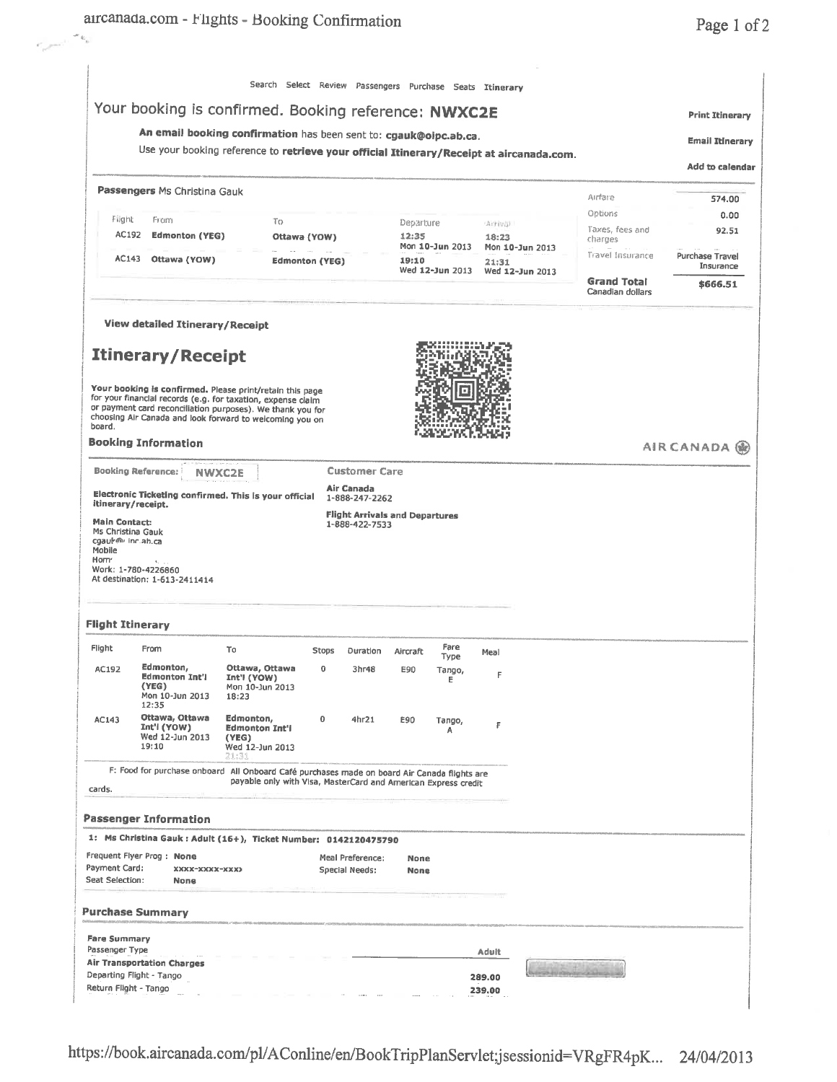|                                                                           |                                                                                                                                                                                        |                                                                                          |                       |                      |                                       | Your booking is confirmed. Booking reference: NWXC2E |                   |                 |                            | <b>Print Itinerary</b> |
|---------------------------------------------------------------------------|----------------------------------------------------------------------------------------------------------------------------------------------------------------------------------------|------------------------------------------------------------------------------------------|-----------------------|----------------------|---------------------------------------|------------------------------------------------------|-------------------|-----------------|----------------------------|------------------------|
|                                                                           |                                                                                                                                                                                        | An email booking confirmation has been sent to: cgauk@oipc.ab.ca.                        |                       |                      |                                       |                                                      |                   |                 |                            | <b>Email Itinerary</b> |
|                                                                           |                                                                                                                                                                                        | Use your booking reference to retrieve your official Itinerary/Receipt at aircanada.com. |                       |                      |                                       |                                                      |                   |                 |                            | <b>Add to calendar</b> |
|                                                                           | Passengers Ms Christina Gauk                                                                                                                                                           |                                                                                          |                       |                      |                                       |                                                      |                   |                 | Airfare                    | 574.00                 |
| Filght                                                                    | From                                                                                                                                                                                   |                                                                                          |                       |                      |                                       |                                                      |                   |                 | Options                    | 0.00                   |
| AC192                                                                     | <b>Edmonton (YEG)</b>                                                                                                                                                                  | Tо                                                                                       | Ottawa (YOW)          |                      | Departure<br>12:35                    |                                                      | Arrivill<br>18:23 |                 | Taxes, fees and<br>charges | 92.51                  |
| AC143                                                                     | Ottawa (YOW)                                                                                                                                                                           |                                                                                          | <b>Edmonton (YEG)</b> |                      | 19:10                                 | Mon 10-Jun 2013                                      | 21:31             | Mon 10-Jun 2013 | Travel Insurance           | Purchase Travel        |
|                                                                           |                                                                                                                                                                                        |                                                                                          |                       |                      |                                       | Wed 12-Jun 2013                                      |                   | Wed 12-Jun 2013 | <b>Grand Total</b>         | Insurance<br>\$666.51  |
|                                                                           |                                                                                                                                                                                        |                                                                                          |                       |                      |                                       |                                                      |                   |                 | Canadian dollars           |                        |
|                                                                           | <b>View detailed Itinerary/Receipt</b>                                                                                                                                                 |                                                                                          |                       |                      |                                       |                                                      |                   |                 |                            |                        |
|                                                                           | <b>Itinerary/Receipt</b>                                                                                                                                                               |                                                                                          |                       |                      |                                       |                                                      |                   |                 |                            |                        |
|                                                                           | Your booking is confirmed. Please print/retain this page<br>for your financial records (e.g. for taxation, expense claim<br>or payment card reconciliation purposes). We thank you for |                                                                                          |                       |                      |                                       |                                                      |                   |                 |                            |                        |
| board.                                                                    | choosing Air Canada and look forward to welcoming you on                                                                                                                               |                                                                                          |                       |                      |                                       |                                                      |                   |                 |                            |                        |
|                                                                           | <b>Booking Information</b>                                                                                                                                                             |                                                                                          |                       |                      |                                       |                                                      |                   |                 |                            | <b>AIR CANADA ®</b>    |
|                                                                           | <b>Booking Reference:</b><br><b>NWXC2E</b>                                                                                                                                             |                                                                                          |                       | <b>Customer Care</b> |                                       |                                                      |                   |                 |                            |                        |
|                                                                           | Electronic Ticketing confirmed. This is your official<br>itinerary/receipt.                                                                                                            |                                                                                          | Air Canada            | 1-888-247-2262       |                                       |                                                      |                   |                 |                            |                        |
| <b>Main Contact:</b>                                                      |                                                                                                                                                                                        |                                                                                          |                       | 1-888-422-7533       | <b>Flight Arrivals and Departures</b> |                                                      |                   |                 |                            |                        |
| Ms Christina Gauk<br>cgauk@r inc.ab.ca                                    |                                                                                                                                                                                        |                                                                                          |                       |                      |                                       |                                                      |                   |                 |                            |                        |
| Mobile<br>Horn <sup>.</sup>                                               |                                                                                                                                                                                        |                                                                                          |                       |                      |                                       |                                                      |                   |                 |                            |                        |
|                                                                           | $\epsilon$                                                                                                                                                                             |                                                                                          |                       |                      |                                       |                                                      |                   |                 |                            |                        |
|                                                                           | Work: 1-780-4226860<br>At destination: 1-613-2411414                                                                                                                                   |                                                                                          |                       |                      |                                       |                                                      |                   |                 |                            |                        |
|                                                                           |                                                                                                                                                                                        |                                                                                          |                       |                      |                                       |                                                      |                   |                 |                            |                        |
|                                                                           | <b>Flight Itinerary</b>                                                                                                                                                                |                                                                                          |                       |                      |                                       |                                                      |                   |                 |                            |                        |
|                                                                           | From                                                                                                                                                                                   | To                                                                                       | <b>Stops</b>          | Duration             | Aircraft                              | Fare<br>Type                                         | Meal              |                 |                            |                        |
| AC192                                                                     | Edmonton,<br><b>Edmonton Int'l</b><br>(YEG)<br>Mon 10-Jun 2013                                                                                                                         | Ottawa, Ottawa<br>Int'l (YOW)<br>Mon 10-3un 2013<br>18:23                                | 0                     | 3hr48                | E90                                   | Tango,<br>Ε                                          |                   |                 |                            |                        |
| AC143                                                                     | 12:35<br>Ottawa, Ottawa<br>Int'l (YOW)                                                                                                                                                 | Edmonton,                                                                                | 0                     | 4hr21                | E90                                   | Tango,                                               | F                 |                 |                            |                        |
|                                                                           | Wed 12-Jun 2013<br>19:10                                                                                                                                                               | <b>Edmonton Int'l</b><br>(YEG)<br>Wed 12-Jun 2013                                        |                       |                      |                                       | Α                                                    |                   |                 |                            |                        |
|                                                                           | F: Food for purchase onboard All Onboard Café purchases made on board Air Canada flights are                                                                                           | 21:31                                                                                    |                       |                      |                                       |                                                      |                   |                 |                            |                        |
|                                                                           |                                                                                                                                                                                        | payable only with VIsa, MasterCard and American Express credit                           |                       |                      |                                       |                                                      |                   |                 |                            |                        |
| Flight<br>cards.                                                          | Passenger Information                                                                                                                                                                  |                                                                                          |                       |                      |                                       |                                                      |                   |                 |                            |                        |
|                                                                           | 1: Ms Christina Gauk : Adult (16+), Ticket Number: 0142120475790                                                                                                                       |                                                                                          |                       |                      |                                       |                                                      |                   |                 |                            |                        |
|                                                                           | Frequent Flyer Prog: None                                                                                                                                                              |                                                                                          |                       | Meal Preference:     | None                                  |                                                      |                   |                 |                            |                        |
|                                                                           | XXXX-XXXXX-XXXX<br><b>None</b>                                                                                                                                                         |                                                                                          | Special Needs:        |                      | <b>None</b>                           |                                                      |                   |                 |                            |                        |
|                                                                           |                                                                                                                                                                                        |                                                                                          |                       |                      |                                       |                                                      |                   |                 |                            |                        |
|                                                                           | <b>Purchase Summary</b>                                                                                                                                                                |                                                                                          |                       |                      |                                       |                                                      |                   |                 |                            |                        |
|                                                                           |                                                                                                                                                                                        |                                                                                          |                       |                      |                                       |                                                      | Adult             |                 |                            |                        |
| Payment Card:<br>Seat Selection:<br><b>Fare Summary</b><br>Passenger Type | <b>Air Transportation Charges</b><br>Departing Flight - Tango                                                                                                                          |                                                                                          |                       |                      |                                       |                                                      | 289.00            |                 |                            |                        |

https://book.aircanada.com/pl/AConline/en/BookTripPlanServlet;jsessionid=VRgFR4pK... 24/04/2013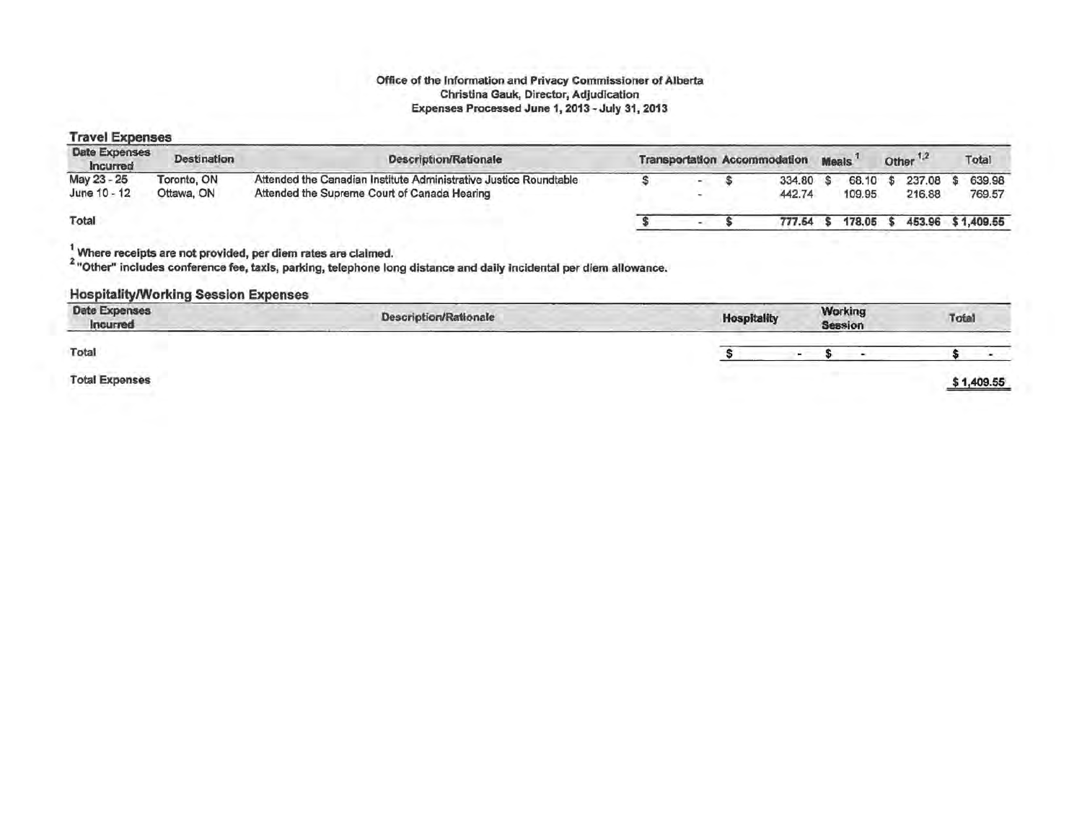#### Office of the Information and Privacy Commissioner of Alberta Christina Gauk, Director, Adjudication Expenses Processed June 1, 2013 - July 31, 2013

#### Travel Expenses

| Date Expenses<br>Incurred   | Destination               | <b>Description/Rationale</b>                                                                                      |  | <b>Transportation Accommodation</b> | <b>Meals</b> | Other <sup>1,2</sup>      | Total              |
|-----------------------------|---------------------------|-------------------------------------------------------------------------------------------------------------------|--|-------------------------------------|--------------|---------------------------|--------------------|
| May 23 - 25<br>June 10 - 12 | Toronto, ON<br>Ottawa, ON | Attended the Canadian Institute Administrative Justice Roundtable<br>Attended the Supreme Court of Canada Hearing |  | 334.80<br>442.74                    | 109.95       | 68.10 \$ 237.08<br>216,88 | \$639.98<br>769.57 |
| Total                       |                           |                                                                                                                   |  | 777.54                              | 178.05       | 453.96 \$1,409.55         |                    |

 $\frac{1}{2}$  Where receipts are not provided, per diem rates are claimed.

<sup>2</sup> "Other" includes conference fee, taxis, parking, telephone long distance and daily incidental per diem allowance.

#### Hospitality/Working Session Expenses

| Date Expenses<br>Incurred | Description/Rationale<br>the property of the control of the | <b>Hospitality</b><br>Bern and Commercial | the company and company and | <b>Working</b><br><b>Session</b> | Total |            |
|---------------------------|-------------------------------------------------------------|-------------------------------------------|-----------------------------|----------------------------------|-------|------------|
| Total                     |                                                             |                                           |                             |                                  |       |            |
| <b>Total Expenses</b>     |                                                             |                                           |                             |                                  |       | \$1,409.55 |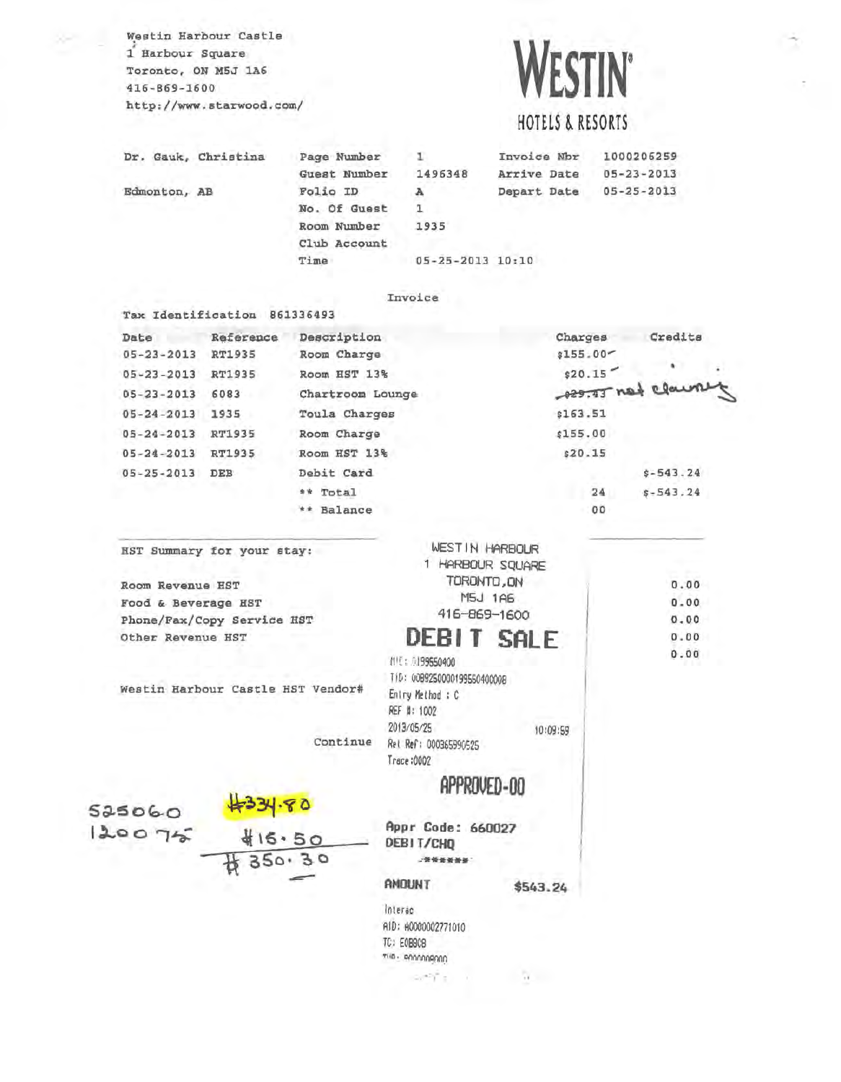Westin Harbour Castle 1 Harbour Square Toronto, ON M5J 1A6 416-869-1600 http://www.starwood.com/

Tax Identification 861336493

# **WESTIN'**

## HOTELS & RESORTS

Dr. Gauk, Christina Edmonton, AB Page Number Guest Number Folio ID 1 1496348 A Invoice Nbr Arrive Date Depart Date 1000206259 05-23-2013 05-25-2013 No. Of Guest 1 Room Number 1935 Club Account Time 05-25-2013 10:10

#### Invoice

Date Reference Description 05-23-2013 RT1935 Room Charge 05-23-2013 RT1935 Room HST 13% Charges  $$155.00^$ s20.15' Credits 05-23-2013 RT1935 ROOM HST 13% \$20.15<br>05-23-2013 6083 Chartroom Lounge 285.43 not element 05-24-2013 1935 05-24-2013 RT1935 05-24-2013 RT1935 05-25-2013 DEB Toula Charges Room Charge Room HST 13% Debit Card \$163.51 \$155.00 \$20 .15 \$-543.24 \*\* Total 24 \$-543.24 \*\* Balance 00

WEST IN HARBOUR HST Summary for your stay: 1 HARBOUR SQUARE TORONTO,ON Room Revenue HST o.oo M5J 1A6 Food & Beverage HST o.oo I 416-869-1600 Phone/Fax/Copy Service HST 0.00 **DEBIT SALE**  o.oo Other Revenue HST I 0.00 MIE: 0199550400 I TiD: 0089250000199550400008 Westin Harbour Castle HST Vendor# Entry Hethod : C REF #: 1002 2013/05/25 10:09:59 Continue Rel Ref: 0003659%525 Trace :0002 **APPROVED-OD**  s~~o~o **Appr Code: 660027 ll..co** I~ **DEBITICHQ**  30 ·'\*\*\*\*\*\*' **AMOUNT \$543.24**  Interac AID: A0000002771010 TC: EOBSCB ... .. '"··: **CONTRACTOR**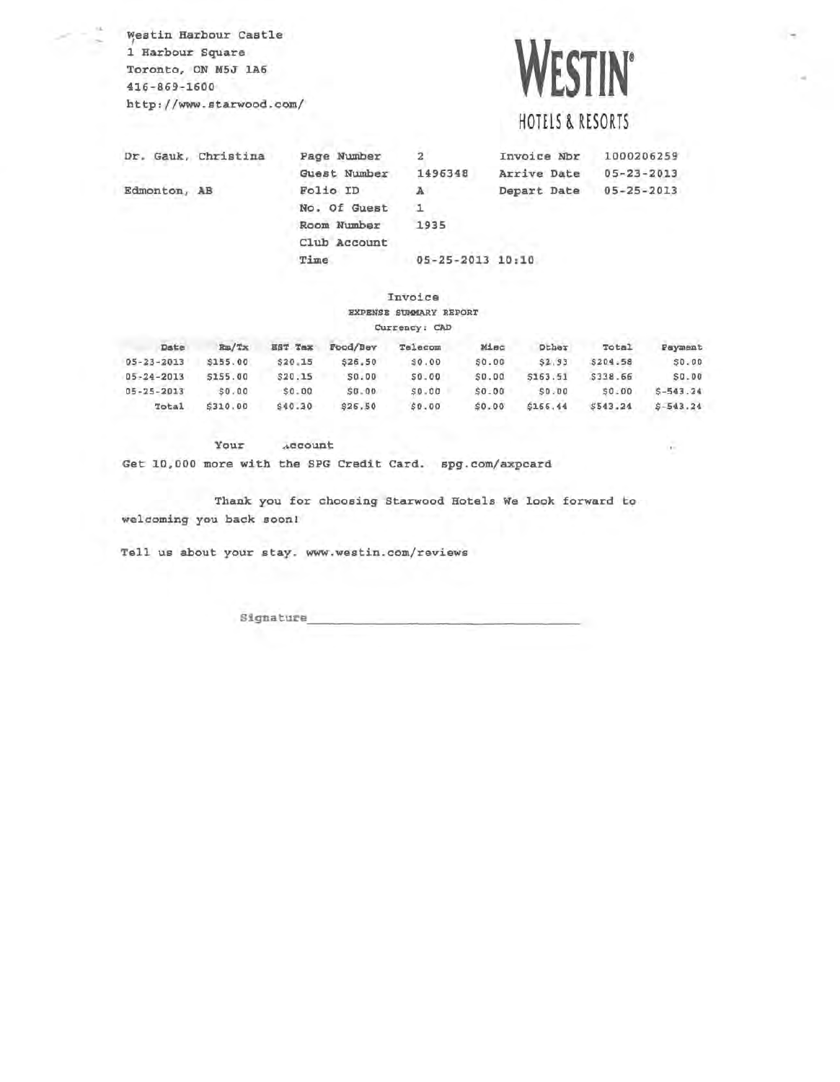**Westin Harbour Castle** 1 Harbour Square Toronto, ON M5J 1A6 416-869-1600 http://www.starwood.com/

# **WESTIN'**

## HOTELS & RESORTS

Dr. Gauk, Christina Edmonton, AB Page Number Guest Number 1496348 Folio ID 2 A Invoice Nbr Arrive Date Depart Date 05-25-2013 1000206259 05-23-2013 1 1935 Room Number No. Of Guest Club Account Time 05-25-2013 10:10

#### Invoice EXPENSB SUMMARY REPORT

#### currency: CAD

| Date             | Ra/Tx    | <b>HST Tax</b> | Food/Bev | Telecom   | Misc   | Other        | Total    | Payment      |
|------------------|----------|----------------|----------|-----------|--------|--------------|----------|--------------|
| $05 - 23 - 2013$ | \$155.00 | \$20.15        | \$26.50  | SO.00     | \$0.00 | \$2.93       | \$204.58 | <b>SO.00</b> |
| $05 - 24 - 2013$ | \$155.00 | \$20.15        | \$0.00   | \$0.00    | \$0.00 | \$163.51     | \$338.66 | SO, DO       |
| $05 - 25 - 2013$ | \$0.00   | \$0.00         | \$0.00   | $50 - 00$ | \$0.00 | <b>SD.DO</b> | 50.00    | $5 - 543.24$ |
| Total            | \$310.00 | \$40.30        | \$26,50  | 50.00     | \$0.00 | \$166.44     | \$543.24 | $5 - 543.24$ |

Your .~ccount

Get 10,000 more with the SPG Credit Card. spg.com/axpcard

Thank you for choosing Starwood Hotels We look forward to welcoming you back soon!

Tell us about your stay. www.westin . com/reviews

Signature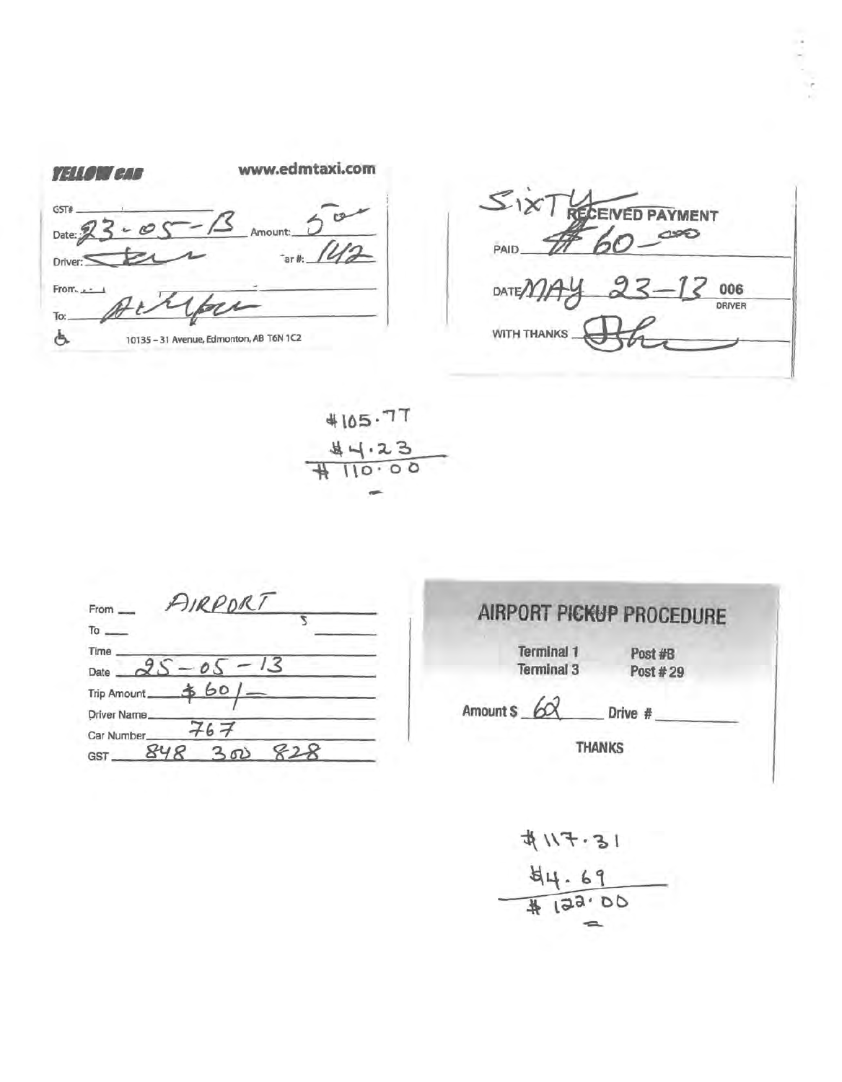| <i>TIIO ED</i> | www.edmtaxi.com                         |
|----------------|-----------------------------------------|
| GST#<br>Date:  | Amount:                                 |
| Driver:        | $ar \#$ :                               |
| From.          |                                         |
| To:            |                                         |
|                | 10135 - 31 Avenue, Edmonton, AB T6N 1C2 |



4105.77  $\frac{1}{10 \cdot 0}$ 

| AIRPORT<br>From<br>To      |     |
|----------------------------|-----|
|                            |     |
| Time                       | 1.5 |
| Date                       |     |
| \$60<br><b>Trip Amount</b> |     |
| <b>Driver Name</b>         |     |
| 267<br>Car Number          |     |
| 848<br>300<br>GST          |     |

# **AIRPORT PICKUP PROCEDURE**

Terminal 1 Post #B<br>Terminal 3 Post #2

Post # 29

Amount  $\frac{6}{x}$  Drive #  $\frac{1}{2}$ 

THANKS

18.F11#  $44.69$ <br> $44.69$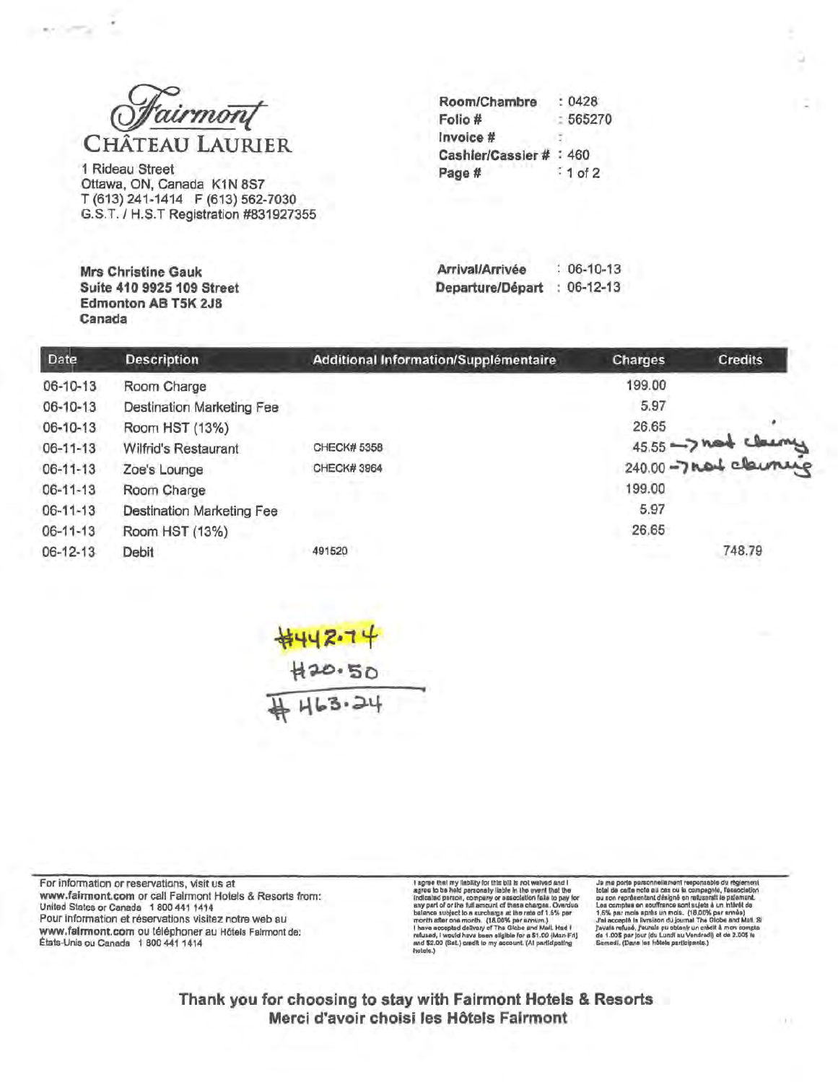

1 Rideau Street Ottawa, ON, Canada K1N 8S7 T (613) 241-1414 F (613) 562-7030 G.S.T. / H.S.T Registration #831927355

**Mrs Christine Gauk** Suite 410 9925 109 Street

Canada

Edmonton AB T5K 2J8

| : 0428                  |
|-------------------------|
| 565270                  |
|                         |
| Cashier/Cassier # : 460 |
| $:1$ of 2               |
|                         |

Arrival/Arrivée  $: 06-10-13$ Departure/Départ : 06-12-13

| Date           | <b>Description</b>               | Additional Information/Supplémentaire | Charges | <b>Credits</b>     |
|----------------|----------------------------------|---------------------------------------|---------|--------------------|
| 06-10-13       | Room Charge                      |                                       | 199.00  |                    |
| 06-10-13       | <b>Destination Marketing Fee</b> |                                       | 5.97    |                    |
| 06-10-13       | Room HST (13%)                   |                                       | 26.65   |                    |
| $06 - 11 - 13$ | Wilfrid's Restaurant             | <b>CHECK# 5358</b>                    |         |                    |
| $06 - 11 - 13$ | Zoe's Lounge                     | <b>CHECK#3964</b>                     |         | 45.55 - hat cleany |
| $06 - 11 - 13$ | Room Charge                      |                                       | 199.00  |                    |
| 06-11-13       | <b>Destination Marketing Fee</b> |                                       | 5.97    |                    |
| 06-11-13       | Room HST (13%)                   |                                       | 26.65   |                    |
| 06-12-13       | Debit                            | 491520                                |         | 748.79             |

<del>\$442.74</del><br>H20.50<br>H63.24

For information or reservations, visit us at www.fairmont.com or call Fairmont Hotels & Resorts from: United States or Canada 1 800 441 1414 Pour information et réservations visitez notre web au www.falrmont.com ou téléphoner au Hôtels Falrmont de: États-Unis ou Canada 1 800 441 1414

I agree that my liability for this bilt in the heat and it agree is be held personally liable in the went that the induction partent is a pay for a small and pay of a small star pay of or the full amount of these charges. and \$2.00 (Sat.) cradit to my account. (At participating<br>hotels.)

Js me porte personnellament responsable du règlement total de catte note au cas ou la compagnie, l'association que son reprisentant désigné en returne.<br>Les comptes le sette de la compagnie de la compte de la compte de la

Thank you for choosing to stay with Fairmont Hotels & Resorts Merci d'avoir choisi les Hôtels Fairmont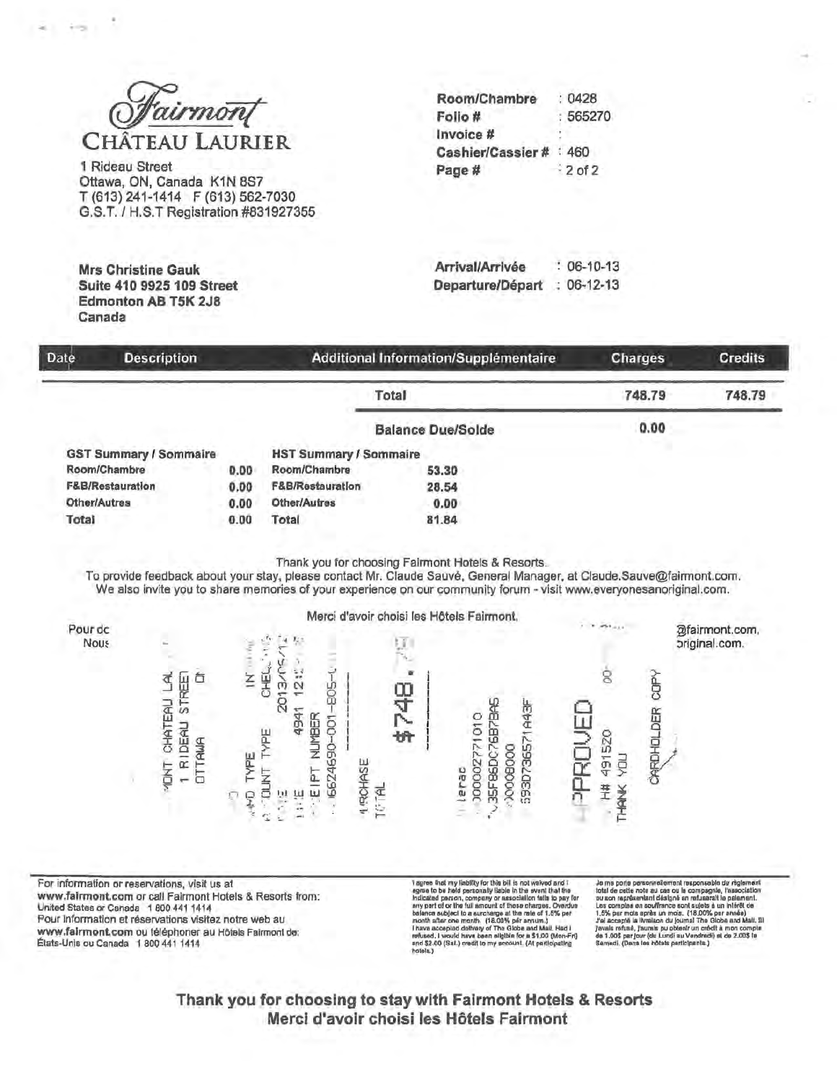

1 Rideau Street Ottawa, ON, Canada K1N 8S7 T (613) 241-1414 F (613) 562-7030 G.S.T. / H.S.T Registration #831927355

**Mrs Christine Gauk** Suite 410 9925 109 Street

Canada

**Edmonton AB T5K 2J8** 

| Room/Chambre            | :0428     |
|-------------------------|-----------|
| Folio #                 | : 565270  |
| Invoice #               |           |
| Cashier/Cassier # : 460 |           |
| Page#                   | $-2$ of 2 |
|                         |           |

Arrival/Arrivée  $: 06 - 10 - 13$ Departure/Départ  $: 06-12-13$ 

| <b>Date</b> | <b>Description</b>            |      |                               | Additional Information/Supplémentaire | <b>Charges</b> | <b>Credits</b> |
|-------------|-------------------------------|------|-------------------------------|---------------------------------------|----------------|----------------|
|             |                               |      |                               | Total                                 | 748.79         | 748.79         |
|             |                               |      |                               | <b>Balance Due/Solde</b>              | 0.00           |                |
|             | <b>GST Summary / Sommaire</b> |      | <b>HST Summary / Sommaire</b> |                                       |                |                |
|             | Room/Chambre                  | 0.00 | Room/Chambre                  | 53.30                                 |                |                |
|             | <b>F&amp;B/Restauration</b>   | 0.00 | <b>F&amp;B/Restauration</b>   | 28.54                                 |                |                |
|             | Other/Autres                  | 0.00 | Other/Autres                  | 0.00                                  |                |                |
| Total       |                               | 0.00 | Total                         | 81.84                                 |                |                |

Thank you for choosing Fairmont Hotels & Resorts.

To provide feedback about your stay, please contact Mr. Claude Sauvé, General Manager, at Claude Sauve@fairmont.com. We also invite you to share memories of your experience on our community forum - visit www.everyonesanoriginal.com.



For information or reservations, visit us at www.fairmont.com or call Fairmont Hotels & Resorts from: United States or Canada 1 800 441 1414 Pour information et réservations visitez notre web au www.fairmont.com ou téléphoner au Hôtels Fairmont de: États-Unis ou Canada 1800 441 1414

T agree that my lability for this bill is not weived and I<br>agree to be held personally liable in the swent that fire<br>haldcated person company or association fails to pay for<br>any part of or the full amount of these charges hotels.)

Je me porte personnellement responsable du règlement<br>total de cette note au cas ou le compagnie, l'association<br>ou son rappésaminat désigné an refuserati le pelement.<br>Les comptes en soulitance sont sujets à un intéré de<br>1. a and Mall. 31

Thank you for choosing to stay with Fairmont Hotels & Resorts Merci d'avoir choisi les Hôtels Fairmont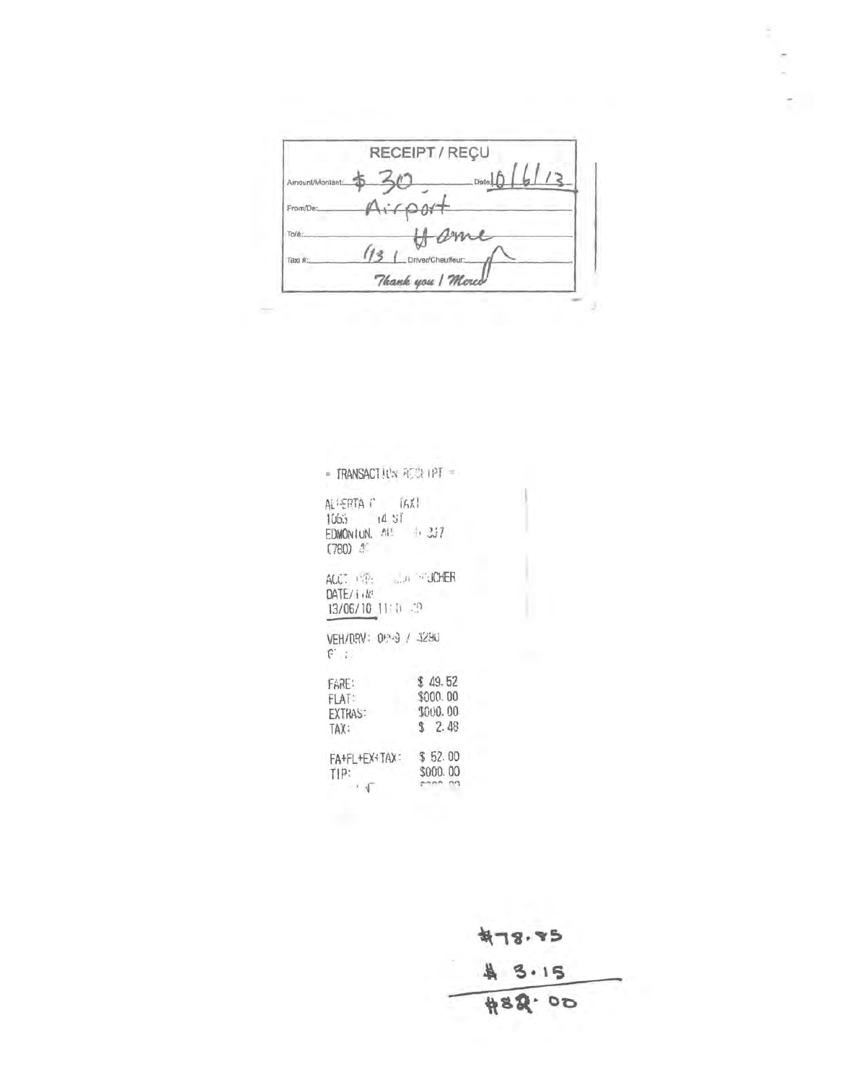RECEIPT / REÇU \$30 model6/13 Amount/Montant: From/Dr ame  $\phi$ To/à: 13 | Driver/Chauffeur: Taxi # Thank you | Merco J.

| $=$ TRANSACTION RECEIPT $=$                                                          |                                                  |
|--------------------------------------------------------------------------------------|--------------------------------------------------|
| ALMERTA CONTINUES.<br>$1065 - 14.51$<br>$EDMONUM.$ $M1 \rightarrow M27$<br>$(780)$ 4 |                                                  |
| ACC: INP:  JOHER<br>DATE/i.M.<br>13/06/10 11: 0 39                                   |                                                  |
| VEH/DRV: 099 / 4290<br>$F \rightarrow$                                               |                                                  |
| FARE:<br>$F[A]$ :<br><b>EXTRAS:</b><br>TAX:                                          | \$49.52<br>\$000.00<br><b>LOUG. 00</b><br>\$2.48 |
| FA+FL+EX+TAX: \$52.00<br>TIP:<br>$\sqrt{1}$                                          | \$000.00                                         |

 $478.85$ \$ 3.15 #82.00

$$
\mathcal{E}_{\mathcal{L}}(t)
$$

š.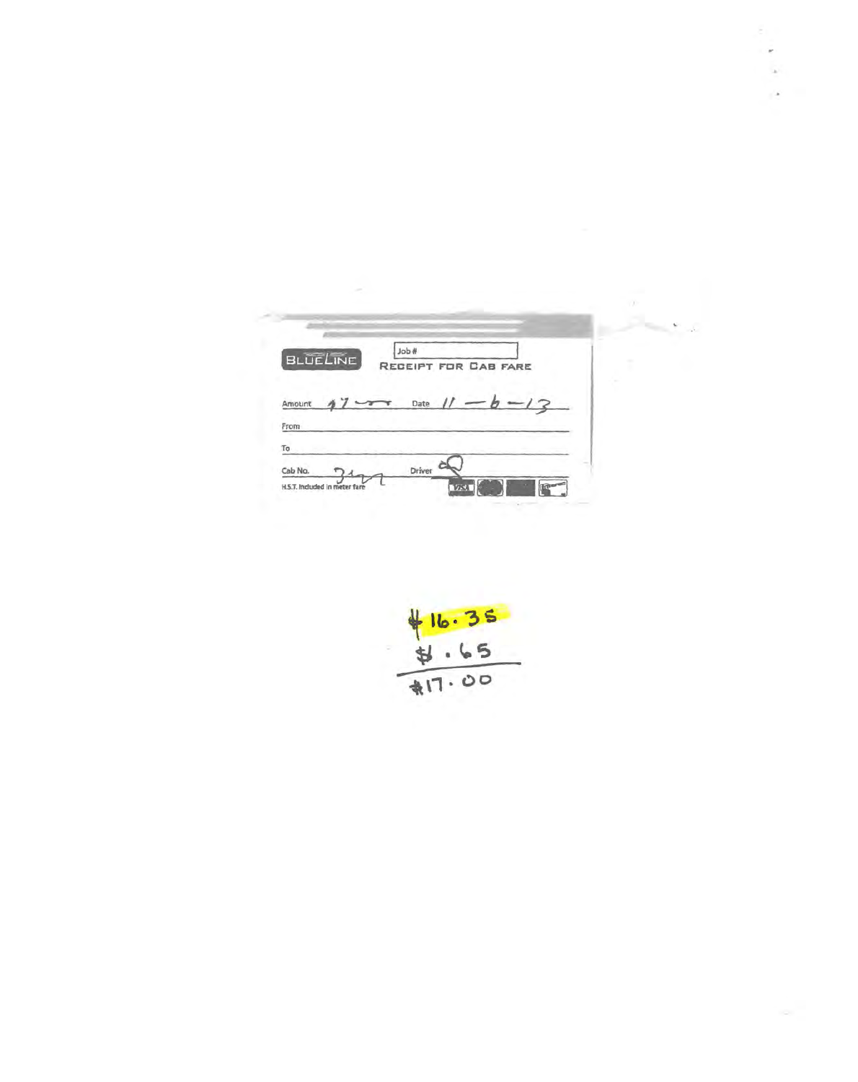|                 |                      |  | n |
|-----------------|----------------------|--|---|
|                 |                      |  |   |
| <b>BLUELINE</b> | #doL                 |  | × |
|                 | RECEIPT FOR CAB FARE |  |   |
|                 |                      |  |   |
|                 |                      |  |   |
| Amount          | Date                 |  |   |
| From            |                      |  |   |
| To              |                      |  |   |
| Cab No.         | Driver               |  |   |

ë,

 $+16.35$ <br> $+16.35$ <br> $+17.00$